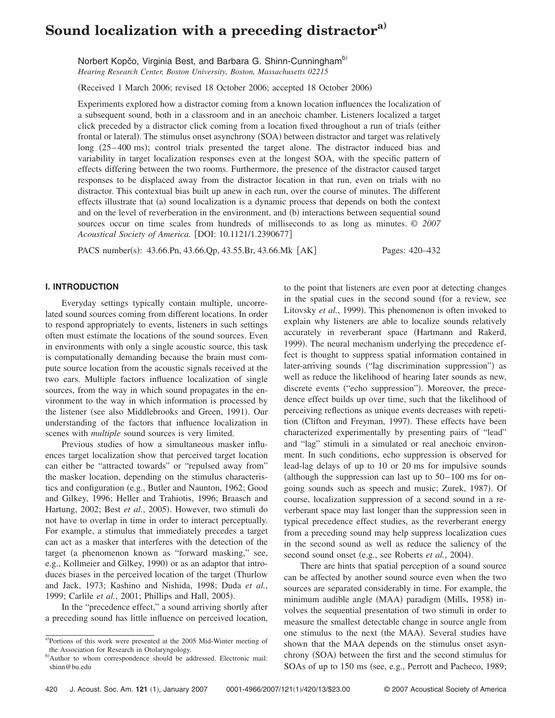# Sound localization with a preceding distractor<sup>a)</sup>

Norbert Kopčo, Virginia Best, and Barbara G. Shinn-Cunningham<sup>b)</sup> *Hearing Research Center, Boston University, Boston, Massachusetts 02215*

(Received 1 March 2006; revised 18 October 2006; accepted 18 October 2006)

Experiments explored how a distractor coming from a known location influences the localization of a subsequent sound, both in a classroom and in an anechoic chamber. Listeners localized a target click preceded by a distractor click coming from a location fixed throughout a run of trials (either frontal or lateral). The stimulus onset asynchrony (SOA) between distractor and target was relatively long (25–400 ms); control trials presented the target alone. The distractor induced bias and variability in target localization responses even at the longest SOA, with the specific pattern of effects differing between the two rooms. Furthermore, the presence of the distractor caused target responses to be displaced away from the distractor location in that run, even on trials with no distractor. This contextual bias built up anew in each run, over the course of minutes. The different effects illustrate that (a) sound localization is a dynamic process that depends on both the context and on the level of reverberation in the environment, and (b) interactions between sequential sound sources occur on time scales from hundreds of milliseconds to as long as minutes. © *2007 Acoustical Society of America.* DOI: 10.1121/1.2390677

PACS number(s): 43.66.Pn, 43.66.Qp, 43.55.Br, 43.66.Mk [AK] Pages: 420–432

### **I. INTRODUCTION**

Everyday settings typically contain multiple, uncorrelated sound sources coming from different locations. In order to respond appropriately to events, listeners in such settings often must estimate the locations of the sound sources. Even in environments with only a single acoustic source, this task is computationally demanding because the brain must compute source location from the acoustic signals received at the two ears. Multiple factors influence localization of single sources, from the way in which sound propagates in the environment to the way in which information is processed by the listener (see also Middlebrooks and Green, 1991). Our understanding of the factors that influence localization in scenes with *multiple* sound sources is very limited.

Previous studies of how a simultaneous masker influences target localization show that perceived target location can either be "attracted towards" or "repulsed away from" the masker location, depending on the stimulus characteristics and configuration (e.g., Butler and Naunton, 1962; Good and Gilkey, 1996; Heller and Trahiotis, 1996; Braasch and Hartung, 2002; Best et al., 2005). However, two stimuli do not have to overlap in time in order to interact perceptually. For example, a stimulus that immediately precedes a target can act as a masker that interferes with the detection of the target (a phenomenon known as "forward masking," see, e.g., Kollmeier and Gilkey, 1990) or as an adaptor that introduces biases in the perceived location of the target Thurlow and Jack, 1973; Kashino and Nishida, 1998; Duda *et al.*, 1999; Carlile et al., 2001; Phillips and Hall, 2005).

In the "precedence effect," a sound arriving shortly after a preceding sound has little influence on perceived location, to the point that listeners are even poor at detecting changes in the spatial cues in the second sound (for a review, see Litovsky et al., 1999). This phenomenon is often invoked to explain why listeners are able to localize sounds relatively accurately in reverberant space Hartmann and Rakerd, 1999). The neural mechanism underlying the precedence effect is thought to suppress spatial information contained in later-arriving sounds ("lag discrimination suppression") as well as reduce the likelihood of hearing later sounds as new, discrete events ("echo suppression"). Moreover, the precedence effect builds up over time, such that the likelihood of perceiving reflections as unique events decreases with repetition (Clifton and Freyman, 1997). These effects have been characterized experimentally by presenting pairs of "lead" and "lag" stimuli in a simulated or real anechoic environment. In such conditions, echo suppression is observed for lead-lag delays of up to 10 or 20 ms for impulsive sounds (although the suppression can last up to  $50-100$  ms for ongoing sounds such as speech and music; Zurek, 1987). Of course, localization suppression of a second sound in a reverberant space may last longer than the suppression seen in typical precedence effect studies, as the reverberant energy from a preceding sound may help suppress localization cues in the second sound as well as reduce the saliency of the second sound onset (e.g., see Roberts et al., 2004).

There are hints that spatial perception of a sound source can be affected by another sound source even when the two sources are separated considerably in time. For example, the minimum audible angle (MAA) paradigm (Mills, 1958) involves the sequential presentation of two stimuli in order to measure the smallest detectable change in source angle from one stimulus to the next (the MAA). Several studies have shown that the MAA depends on the stimulus onset asynchrony (SOA) between the first and the second stimulus for SOAs of up to 150 ms (see, e.g., Perrott and Pacheco, 1989;

a)Portions of this work were presented at the 2005 Mid-Winter meeting of the Association for Research in Otolaryngology.

b)Author to whom correspondence should be addressed. Electronic mail: shinn@bu.edu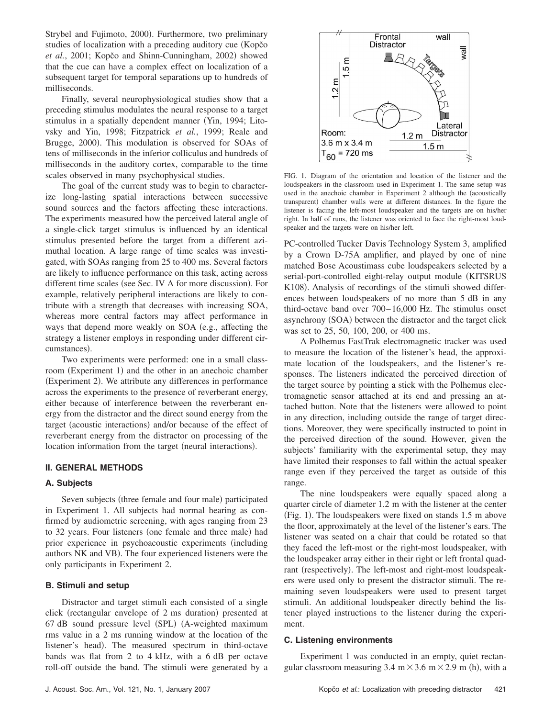Strybel and Fujimoto, 2000). Furthermore, two preliminary studies of localization with a preceding auditory cue Kopčo et al., 2001; Kopčo and Shinn-Cunningham, 2002) showed that the cue can have a complex effect on localization of a subsequent target for temporal separations up to hundreds of milliseconds.

Finally, several neurophysiological studies show that a preceding stimulus modulates the neural response to a target stimulus in a spatially dependent manner (Yin, 1994; Litovsky and Yin, 1998; Fitzpatrick *et al.*, 1999; Reale and Brugge, 2000). This modulation is observed for SOAs of tens of milliseconds in the inferior colliculus and hundreds of milliseconds in the auditory cortex, comparable to the time scales observed in many psychophysical studies.

The goal of the current study was to begin to characterize long-lasting spatial interactions between successive sound sources and the factors affecting these interactions. The experiments measured how the perceived lateral angle of a single-click target stimulus is influenced by an identical stimulus presented before the target from a different azimuthal location. A large range of time scales was investigated, with SOAs ranging from 25 to 400 ms. Several factors are likely to influence performance on this task, acting across different time scales (see Sec. IV A for more discussion). For example, relatively peripheral interactions are likely to contribute with a strength that decreases with increasing SOA, whereas more central factors may affect performance in ways that depend more weakly on SOA (e.g., affecting the strategy a listener employs in responding under different circumstances).

Two experiments were performed: one in a small classroom (Experiment 1) and the other in an anechoic chamber (Experiment 2). We attribute any differences in performance across the experiments to the presence of reverberant energy, either because of interference between the reverberant energy from the distractor and the direct sound energy from the target (acoustic interactions) and/or because of the effect of reverberant energy from the distractor on processing of the location information from the target (neural interactions).

#### **II. GENERAL METHODS**

#### **A. Subjects**

Seven subjects (three female and four male) participated in Experiment 1. All subjects had normal hearing as confirmed by audiometric screening, with ages ranging from 23 to 32 years. Four listeners (one female and three male) had prior experience in psychoacoustic experiments (including authors NK and VB). The four experienced listeners were the only participants in Experiment 2.

#### **B. Stimuli and setup**

Distractor and target stimuli each consisted of a single click (rectangular envelope of 2 ms duration) presented at 67 dB sound pressure level (SPL) (A-weighted maximum rms value in a 2 ms running window at the location of the listener's head). The measured spectrum in third-octave bands was flat from 2 to 4 kHz, with a 6 dB per octave roll-off outside the band. The stimuli were generated by a



FIG. 1. Diagram of the orientation and location of the listener and the loudspeakers in the classroom used in Experiment 1. The same setup was used in the anechoic chamber in Experiment 2 although the (acoustically transparent) chamber walls were at different distances. In the figure the listener is facing the left-most loudspeaker and the targets are on his/her right. In half of runs, the listener was oriented to face the right-most loudspeaker and the targets were on his/her left.

PC-controlled Tucker Davis Technology System 3, amplified by a Crown D-75A amplifier, and played by one of nine matched Bose Acoustimass cube loudspeakers selected by a serial-port-controlled eight-relay output module (KITSRUS K108). Analysis of recordings of the stimuli showed differences between loudspeakers of no more than 5 dB in any third-octave band over 700– 16,000 Hz. The stimulus onset asynchrony (SOA) between the distractor and the target click was set to 25, 50, 100, 200, or 400 ms.

A Polhemus FastTrak electromagnetic tracker was used to measure the location of the listener's head, the approximate location of the loudspeakers, and the listener's responses. The listeners indicated the perceived direction of the target source by pointing a stick with the Polhemus electromagnetic sensor attached at its end and pressing an attached button. Note that the listeners were allowed to point in any direction, including outside the range of target directions. Moreover, they were specifically instructed to point in the perceived direction of the sound. However, given the subjects' familiarity with the experimental setup, they may have limited their responses to fall within the actual speaker range even if they perceived the target as outside of this range.

The nine loudspeakers were equally spaced along a quarter circle of diameter 1.2 m with the listener at the center (Fig. 1). The loudspeakers were fixed on stands 1.5 m above the floor, approximately at the level of the listener's ears. The listener was seated on a chair that could be rotated so that they faced the left-most or the right-most loudspeaker, with the loudspeaker array either in their right or left frontal quadrant (respectively). The left-most and right-most loudspeakers were used only to present the distractor stimuli. The remaining seven loudspeakers were used to present target stimuli. An additional loudspeaker directly behind the listener played instructions to the listener during the experiment.

#### **C. Listening environments**

Experiment 1 was conducted in an empty, quiet rectangular classroom measuring 3.4 m $\times$ 3.6 m $\times$ 2.9 m (h), with a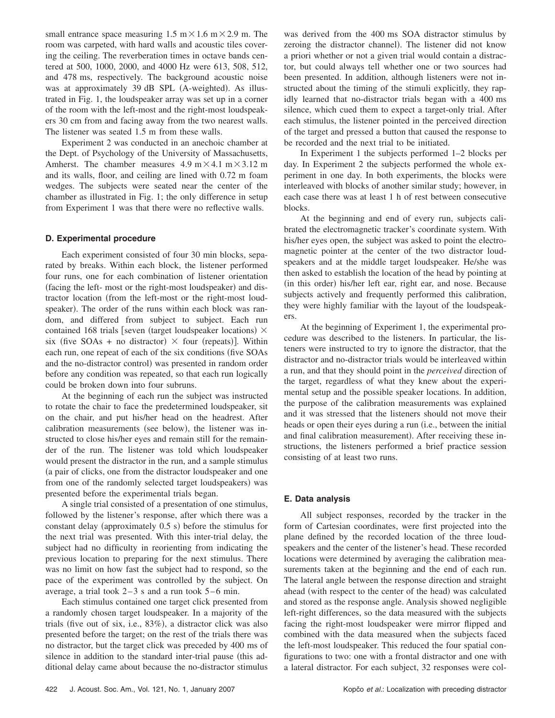small entrance space measuring 1.5 m $\times$  1.6 m $\times$  2.9 m. The room was carpeted, with hard walls and acoustic tiles covering the ceiling. The reverberation times in octave bands centered at 500, 1000, 2000, and 4000 Hz were 613, 508, 512, and 478 ms, respectively. The background acoustic noise was at approximately 39 dB SPL (A-weighted). As illustrated in Fig. 1, the loudspeaker array was set up in a corner of the room with the left-most and the right-most loudspeakers 30 cm from and facing away from the two nearest walls. The listener was seated 1.5 m from these walls.

Experiment 2 was conducted in an anechoic chamber at the Dept. of Psychology of the University of Massachusetts, Amherst. The chamber measures  $4.9 \text{ m} \times 4.1 \text{ m} \times 3.12 \text{ m}$ and its walls, floor, and ceiling are lined with 0.72 m foam wedges. The subjects were seated near the center of the chamber as illustrated in Fig. 1; the only difference in setup from Experiment 1 was that there were no reflective walls.

#### **D. Experimental procedure**

Each experiment consisted of four 30 min blocks, separated by breaks. Within each block, the listener performed four runs, one for each combination of listener orientation (facing the left- most or the right-most loudspeaker) and distractor location (from the left-most or the right-most loudspeaker). The order of the runs within each block was random, and differed from subject to subject. Each run contained 168 trials [seven (target loudspeaker locations)  $\times$ six (five SOAs + no distractor)  $\times$  four (repeats)]. Within each run, one repeat of each of the six conditions (five SOAs and the no-distractor control) was presented in random order before any condition was repeated, so that each run logically could be broken down into four subruns.

At the beginning of each run the subject was instructed to rotate the chair to face the predetermined loudspeaker, sit on the chair, and put his/her head on the headrest. After calibration measurements (see below), the listener was instructed to close his/her eyes and remain still for the remainder of the run. The listener was told which loudspeaker would present the distractor in the run, and a sample stimulus a pair of clicks, one from the distractor loudspeaker and one from one of the randomly selected target loudspeakers) was presented before the experimental trials began.

A single trial consisted of a presentation of one stimulus, followed by the listener's response, after which there was a constant delay (approximately 0.5 s) before the stimulus for the next trial was presented. With this inter-trial delay, the subject had no difficulty in reorienting from indicating the previous location to preparing for the next stimulus. There was no limit on how fast the subject had to respond, so the pace of the experiment was controlled by the subject. On average, a trial took  $2-3$  s and a run took  $5-6$  min.

Each stimulus contained one target click presented from a randomly chosen target loudspeaker. In a majority of the trials (five out of six, i.e., 83%), a distractor click was also presented before the target; on the rest of the trials there was no distractor, but the target click was preceded by 400 ms of silence in addition to the standard inter-trial pause (this additional delay came about because the no-distractor stimulus

was derived from the 400 ms SOA distractor stimulus by zeroing the distractor channel). The listener did not know a priori whether or not a given trial would contain a distractor, but could always tell whether one or two sources had been presented. In addition, although listeners were not instructed about the timing of the stimuli explicitly, they rapidly learned that no-distractor trials began with a 400 ms silence, which cued them to expect a target-only trial. After each stimulus, the listener pointed in the perceived direction of the target and pressed a button that caused the response to be recorded and the next trial to be initiated.

In Experiment 1 the subjects performed 1–2 blocks per day. In Experiment 2 the subjects performed the whole experiment in one day. In both experiments, the blocks were interleaved with blocks of another similar study; however, in each case there was at least 1 h of rest between consecutive blocks.

At the beginning and end of every run, subjects calibrated the electromagnetic tracker's coordinate system. With his/her eyes open, the subject was asked to point the electromagnetic pointer at the center of the two distractor loudspeakers and at the middle target loudspeaker. He/she was then asked to establish the location of the head by pointing at (in this order) his/her left ear, right ear, and nose. Because subjects actively and frequently performed this calibration, they were highly familiar with the layout of the loudspeakers.

At the beginning of Experiment 1, the experimental procedure was described to the listeners. In particular, the listeners were instructed to try to ignore the distractor, that the distractor and no-distractor trials would be interleaved within a run, and that they should point in the *perceived* direction of the target, regardless of what they knew about the experimental setup and the possible speaker locations. In addition, the purpose of the calibration measurements was explained and it was stressed that the listeners should not move their heads or open their eyes during a run (*i.e.*, between the initial and final calibration measurement). After receiving these instructions, the listeners performed a brief practice session consisting of at least two runs.

# **E. Data analysis**

All subject responses, recorded by the tracker in the form of Cartesian coordinates, were first projected into the plane defined by the recorded location of the three loudspeakers and the center of the listener's head. These recorded locations were determined by averaging the calibration measurements taken at the beginning and the end of each run. The lateral angle between the response direction and straight ahead (with respect to the center of the head) was calculated and stored as the response angle. Analysis showed negligible left-right differences, so the data measured with the subjects facing the right-most loudspeaker were mirror flipped and combined with the data measured when the subjects faced the left-most loudspeaker. This reduced the four spatial configurations to two: one with a frontal distractor and one with a lateral distractor. For each subject, 32 responses were col-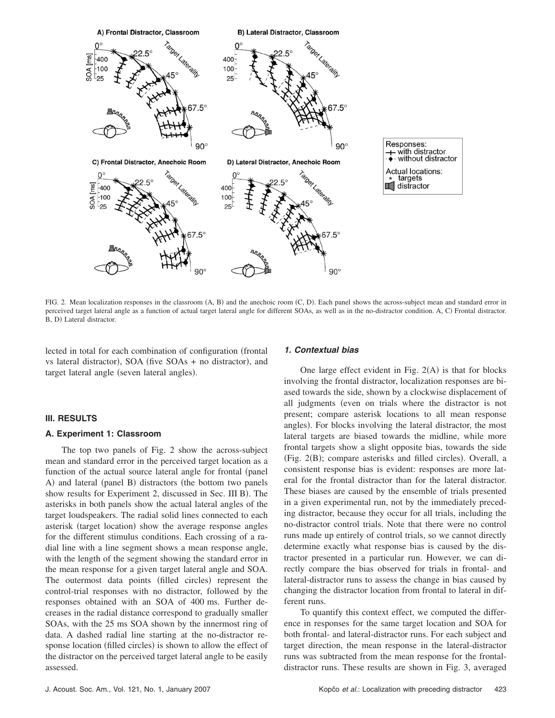

FIG. 2. Mean localization responses in the classroom (A, B) and the anechoic room (C, D). Each panel shows the across-subject mean and standard error in perceived target lateral angle as a function of actual target lateral angle for different SOAs, as well as in the no-distractor condition. A, C) Frontal distractor. B, D) Lateral distractor.

lected in total for each combination of configuration frontal vs lateral distractor), SOA (five SOAs + no distractor), and target lateral angle (seven lateral angles).

#### **III. RESULTS**

#### **A. Experiment 1: Classroom**

The top two panels of Fig. 2 show the across-subject mean and standard error in the perceived target location as a function of the actual source lateral angle for frontal (panel A) and lateral (panel B) distractors (the bottom two panels show results for Experiment 2, discussed in Sec. III B). The asterisks in both panels show the actual lateral angles of the target loudspeakers. The radial solid lines connected to each asterisk (target location) show the average response angles for the different stimulus conditions. Each crossing of a radial line with a line segment shows a mean response angle, with the length of the segment showing the standard error in the mean response for a given target lateral angle and SOA. The outermost data points (filled circles) represent the control-trial responses with no distractor, followed by the responses obtained with an SOA of 400 ms. Further decreases in the radial distance correspond to gradually smaller SOAs, with the 25 ms SOA shown by the innermost ring of data. A dashed radial line starting at the no-distractor response location (filled circles) is shown to allow the effect of the distractor on the perceived target lateral angle to be easily assessed.

#### *1. Contextual bias*

One large effect evident in Fig.  $2(A)$  is that for blocks involving the frontal distractor, localization responses are biased towards the side, shown by a clockwise displacement of all judgments (even on trials where the distractor is not present; compare asterisk locations to all mean response angles). For blocks involving the lateral distractor, the most lateral targets are biased towards the midline, while more frontal targets show a slight opposite bias, towards the side (Fig. 2(B); compare asterisks and filled circles). Overall, a consistent response bias is evident: responses are more lateral for the frontal distractor than for the lateral distractor. These biases are caused by the ensemble of trials presented in a given experimental run, not by the immediately preceding distractor, because they occur for all trials, including the no-distractor control trials. Note that there were no control runs made up entirely of control trials, so we cannot directly determine exactly what response bias is caused by the distractor presented in a particular run. However, we can directly compare the bias observed for trials in frontal- and lateral-distractor runs to assess the change in bias caused by changing the distractor location from frontal to lateral in different runs.

To quantify this context effect, we computed the difference in responses for the same target location and SOA for both frontal- and lateral-distractor runs. For each subject and target direction, the mean response in the lateral-distractor runs was subtracted from the mean response for the frontaldistractor runs. These results are shown in Fig. 3, averaged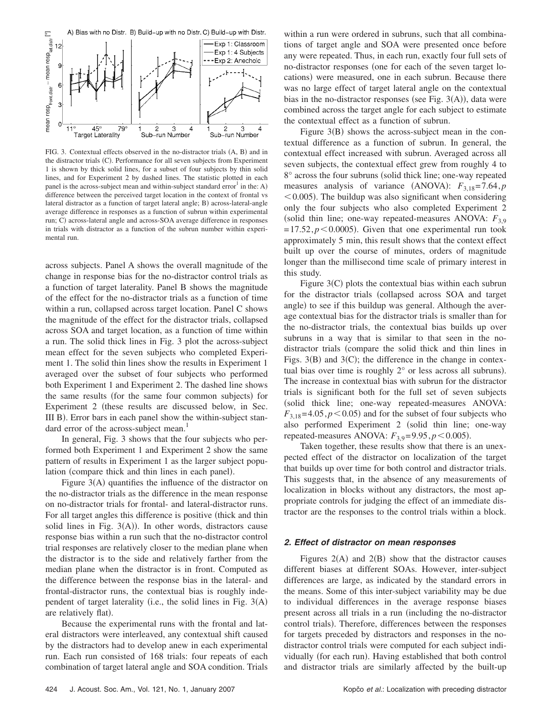

FIG. 3. Contextual effects observed in the no-distractor trials (A, B) and in the distractor trials (C). Performance for all seven subjects from Experiment 1 is shown by thick solid lines, for a subset of four subjects by thin solid lines, and for Experiment 2 by dashed lines. The statistic plotted in each panel is the across-subject mean and within-subject standard  $error<sup>1</sup>$  in the: A) difference between the perceived target location in the context of frontal vs lateral distractor as a function of target lateral angle; B) across-lateral-angle average difference in responses as a function of subrun within experimental run; C) across-lateral angle and across-SOA average difference in responses in trials with distractor as a function of the subrun number within experimental run.

across subjects. Panel A shows the overall magnitude of the change in response bias for the no-distractor control trials as a function of target laterality. Panel B shows the magnitude of the effect for the no-distractor trials as a function of time within a run, collapsed across target location. Panel C shows the magnitude of the effect for the distractor trials, collapsed across SOA and target location, as a function of time within a run. The solid thick lines in Fig. 3 plot the across-subject mean effect for the seven subjects who completed Experiment 1. The solid thin lines show the results in Experiment 1 averaged over the subset of four subjects who performed both Experiment 1 and Experiment 2. The dashed line shows the same results (for the same four common subjects) for Experiment 2 (these results are discussed below, in Sec. III B). Error bars in each panel show the within-subject standard error of the across-subject mean.<sup>1</sup>

In general, Fig. 3 shows that the four subjects who performed both Experiment 1 and Experiment 2 show the same pattern of results in Experiment 1 as the larger subject population (compare thick and thin lines in each panel).

Figure  $3(A)$  quantifies the influence of the distractor on the no-distractor trials as the difference in the mean response on no-distractor trials for frontal- and lateral-distractor runs. For all target angles this difference is positive (thick and thin solid lines in Fig.  $3(A)$ ). In other words, distractors cause response bias within a run such that the no-distractor control trial responses are relatively closer to the median plane when the distractor is to the side and relatively farther from the median plane when the distractor is in front. Computed as the difference between the response bias in the lateral- and frontal-distractor runs, the contextual bias is roughly independent of target laterality (i.e., the solid lines in Fig.  $3(A)$ are relatively flat).

Because the experimental runs with the frontal and lateral distractors were interleaved, any contextual shift caused by the distractors had to develop anew in each experimental run. Each run consisted of 168 trials: four repeats of each combination of target lateral angle and SOA condition. Trials within a run were ordered in subruns, such that all combinations of target angle and SOA were presented once before any were repeated. Thus, in each run, exactly four full sets of no-distractor responses (one for each of the seven target locations) were measured, one in each subrun. Because there was no large effect of target lateral angle on the contextual bias in the no-distractor responses (see Fig.  $3(A)$ ), data were combined across the target angle for each subject to estimate the contextual effect as a function of subrun.

Figure  $3(B)$  shows the across-subject mean in the contextual difference as a function of subrun. In general, the contextual effect increased with subrun. Averaged across all seven subjects, the contextual effect grew from roughly 4 to 8° across the four subruns (solid thick line; one-way repeated measures analysis of variance (ANOVA):  $F_{3,18} = 7.64$ , *p* <0.005). The buildup was also significant when considering only the four subjects who also completed Experiment 2 (solid thin line; one-way repeated-measures ANOVA:  $F_{3,9}$  $= 17.52, p \le 0.0005$ . Given that one experimental run took approximately 5 min, this result shows that the context effect built up over the course of minutes, orders of magnitude longer than the millisecond time scale of primary interest in this study.

Figure  $3(C)$  plots the contextual bias within each subrun for the distractor trials (collapsed across SOA and target angle) to see if this buildup was general. Although the average contextual bias for the distractor trials is smaller than for the no-distractor trials, the contextual bias builds up over subruns in a way that is similar to that seen in the nodistractor trials (compare the solid thick and thin lines in Figs.  $3(B)$  and  $3(C)$ ; the difference in the change in contextual bias over time is roughly  $2^{\circ}$  or less across all subruns). The increase in contextual bias with subrun for the distractor trials is significant both for the full set of seven subjects (solid thick line; one-way repeated-measures ANOVA:  $F_{3,18} = 4.05, p \le 0.05$ ) and for the subset of four subjects who also performed Experiment 2 (solid thin line; one-way repeated-measures ANOVA:  $F_{3,9} = 9.95, p \le 0.005$ ).

Taken together, these results show that there is an unexpected effect of the distractor on localization of the target that builds up over time for both control and distractor trials. This suggests that, in the absence of any measurements of localization in blocks without any distractors, the most appropriate controls for judging the effect of an immediate distractor are the responses to the control trials within a block.

#### *2. Effect of distractor on mean responses*

Figures  $2(A)$  and  $2(B)$  show that the distractor causes different biases at different SOAs. However, inter-subject differences are large, as indicated by the standard errors in the means. Some of this inter-subject variability may be due to individual differences in the average response biases present across all trials in a run (including the no-distractor control trials). Therefore, differences between the responses for targets preceded by distractors and responses in the nodistractor control trials were computed for each subject individually (for each run). Having established that both control and distractor trials are similarly affected by the built-up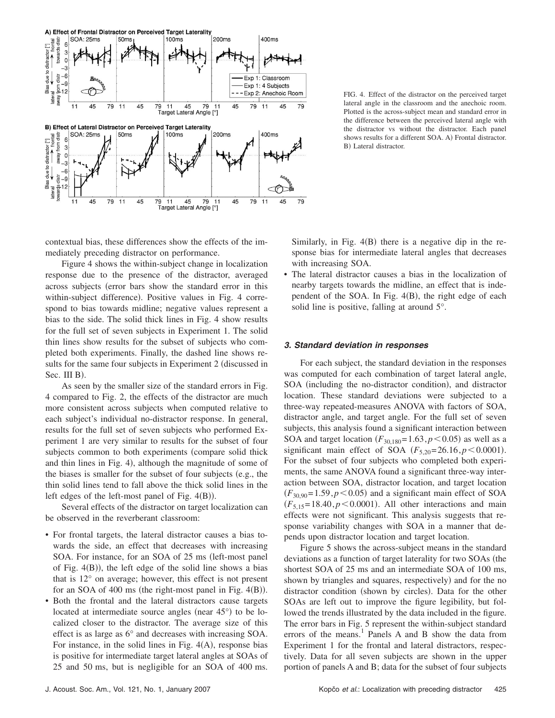

FIG. 4. Effect of the distractor on the perceived target lateral angle in the classroom and the anechoic room. Plotted is the across-subject mean and standard error in the difference between the perceived lateral angle with the distractor vs without the distractor. Each panel shows results for a different SOA. A) Frontal distractor. B) Lateral distractor.

contextual bias, these differences show the effects of the immediately preceding distractor on performance.

Figure 4 shows the within-subject change in localization response due to the presence of the distractor, averaged across subjects (error bars show the standard error in this within-subject difference). Positive values in Fig. 4 correspond to bias towards midline; negative values represent a bias to the side. The solid thick lines in Fig. 4 show results for the full set of seven subjects in Experiment 1. The solid thin lines show results for the subset of subjects who completed both experiments. Finally, the dashed line shows results for the same four subjects in Experiment 2 (discussed in Sec. III B).

As seen by the smaller size of the standard errors in Fig. 4 compared to Fig. 2, the effects of the distractor are much more consistent across subjects when computed relative to each subject's individual no-distractor response. In general, results for the full set of seven subjects who performed Experiment 1 are very similar to results for the subset of four subjects common to both experiments (compare solid thick and thin lines in Fig. 4), although the magnitude of some of the biases is smaller for the subset of four subjects (e.g., the thin solid lines tend to fall above the thick solid lines in the left edges of the left-most panel of Fig.  $4(B)$ ).

Several effects of the distractor on target localization can be observed in the reverberant classroom:

- For frontal targets, the lateral distractor causes a bias towards the side, an effect that decreases with increasing SOA. For instance, for an SOA of 25 ms (left-most panel of Fig.  $4(B)$ ), the left edge of the solid line shows a bias that is 12° on average; however, this effect is not present for an SOA of  $400 \text{ ms}$  (the right-most panel in Fig.  $4(B)$ ).
- Both the frontal and the lateral distractors cause targets located at intermediate source angles (near 45°) to be localized closer to the distractor. The average size of this effect is as large as 6° and decreases with increasing SOA. For instance, in the solid lines in Fig.  $4(A)$ , response bias is positive for intermediate target lateral angles at SOAs of 25 and 50 ms, but is negligible for an SOA of 400 ms.

Similarly, in Fig.  $4(B)$  there is a negative dip in the response bias for intermediate lateral angles that decreases with increasing SOA.

• The lateral distractor causes a bias in the localization of nearby targets towards the midline, an effect that is independent of the SOA. In Fig. 4(B), the right edge of each solid line is positive, falling at around 5°.

#### *3. Standard deviation in responses*

For each subject, the standard deviation in the responses was computed for each combination of target lateral angle, SOA (including the no-distractor condition), and distractor location. These standard deviations were subjected to a three-way repeated-measures ANOVA with factors of SOA, distractor angle, and target angle. For the full set of seven subjects, this analysis found a significant interaction between SOA and target location  $(F_{30,180} = 1.63, p < 0.05)$  as well as a significant main effect of SOA  $(F_{5,20} = 26.16, p < 0.0001)$ . For the subset of four subjects who completed both experiments, the same ANOVA found a significant three-way interaction between SOA, distractor location, and target location  $(F_{30,90} = 1.59, p \le 0.05)$  and a significant main effect of SOA  $(F_{5,15} = 18.40, p \le 0.0001)$ . All other interactions and main effects were not significant. This analysis suggests that response variability changes with SOA in a manner that depends upon distractor location and target location.

Figure 5 shows the across-subject means in the standard deviations as a function of target laterality for two SOAs (the shortest SOA of 25 ms and an intermediate SOA of 100 ms, shown by triangles and squares, respectively) and for the no distractor condition (shown by circles). Data for the other SOAs are left out to improve the figure legibility, but followed the trends illustrated by the data included in the figure. The error bars in Fig. 5 represent the within-subject standard errors of the means. $<sup>1</sup>$  Panels A and B show the data from</sup> Experiment 1 for the frontal and lateral distractors, respectively. Data for all seven subjects are shown in the upper portion of panels A and B; data for the subset of four subjects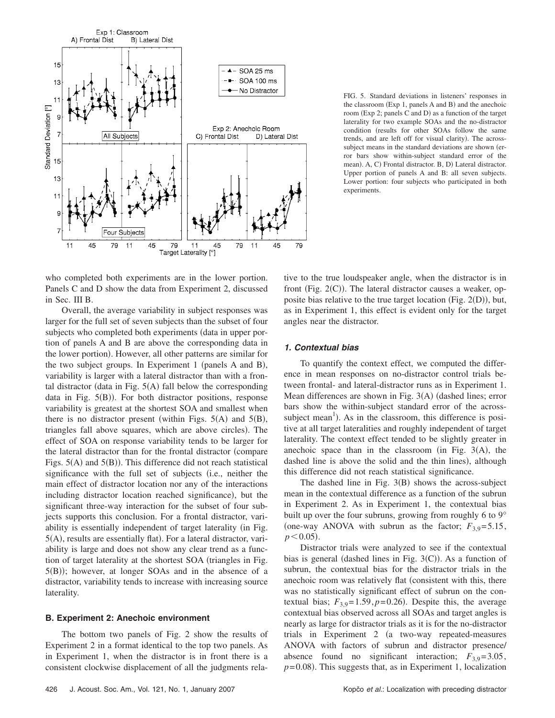

who completed both experiments are in the lower portion. Panels C and D show the data from Experiment 2, discussed in Sec. III B.

Overall, the average variability in subject responses was larger for the full set of seven subjects than the subset of four subjects who completed both experiments (data in upper portion of panels A and B are above the corresponding data in the lower portion). However, all other patterns are similar for the two subject groups. In Experiment 1 (panels A and B), variability is larger with a lateral distractor than with a frontal distractor (data in Fig.  $5(A)$  fall below the corresponding data in Fig. 5(B)). For both distractor positions, response variability is greatest at the shortest SOA and smallest when there is no distractor present (within Figs.  $5(A)$  and  $5(B)$ , triangles fall above squares, which are above circles). The effect of SOA on response variability tends to be larger for the lateral distractor than for the frontal distractor compare Figs.  $5(A)$  and  $5(B)$ ). This difference did not reach statistical significance with the full set of subjects (i.e., neither the main effect of distractor location nor any of the interactions including distractor location reached significance), but the significant three-way interaction for the subset of four subjects supports this conclusion. For a frontal distractor, variability is essentially independent of target laterality (in Fig. 5(A), results are essentially flat). For a lateral distractor, variability is large and does not show any clear trend as a function of target laterality at the shortest SOA (triangles in Fig. 5(B)); however, at longer SOAs and in the absence of a distractor, variability tends to increase with increasing source laterality.

#### **B. Experiment 2: Anechoic environment**

The bottom two panels of Fig. 2 show the results of Experiment 2 in a format identical to the top two panels. As in Experiment 1, when the distractor is in front there is a consistent clockwise displacement of all the judgments rela-

FIG. 5. Standard deviations in listeners' responses in the classroom (Exp 1, panels A and B) and the anechoic room (Exp 2; panels C and D) as a function of the target laterality for two example SOAs and the no-distractor condition (results for other SOAs follow the same trends, and are left off for visual clarity). The acrosssubject means in the standard deviations are shown (error bars show within-subject standard error of the mean). A, C) Frontal distractor. B, D) Lateral distractor. Upper portion of panels A and B: all seven subjects. Lower portion: four subjects who participated in both experiments.

tive to the true loudspeaker angle, when the distractor is in front (Fig. 2(C)). The lateral distractor causes a weaker, opposite bias relative to the true target location (Fig. 2(D)), but, as in Experiment 1, this effect is evident only for the target angles near the distractor.

#### *1. Contextual bias*

To quantify the context effect, we computed the difference in mean responses on no-distractor control trials between frontal- and lateral-distractor runs as in Experiment 1. Mean differences are shown in Fig. 3(A) (dashed lines; error bars show the within-subject standard error of the acrosssubject mean<sup>1</sup>). As in the classroom, this difference is positive at all target lateralities and roughly independent of target laterality. The context effect tended to be slightly greater in anechoic space than in the classroom (in Fig.  $3(A)$ , the dashed line is above the solid and the thin lines), although this difference did not reach statistical significance.

The dashed line in Fig.  $3(B)$  shows the across-subject mean in the contextual difference as a function of the subrun in Experiment 2. As in Experiment 1, the contextual bias built up over the four subruns, growing from roughly 6 to 9° (one-way ANOVA with subrun as the factor;  $F_{3,9} = 5.15$ ,  $p < 0.05$ ).

Distractor trials were analyzed to see if the contextual bias is general (dashed lines in Fig.  $3(C)$ ). As a function of subrun, the contextual bias for the distractor trials in the anechoic room was relatively flat (consistent with this, there was no statistically significant effect of subrun on the contextual bias;  $F_{3,9} = 1.59$ ,  $p = 0.26$ ). Despite this, the average contextual bias observed across all SOAs and target angles is nearly as large for distractor trials as it is for the no-distractor trials in Experiment  $2$  (a two-way repeated-measures ANOVA with factors of subrun and distractor presence/ absence found no significant interaction;  $F_{3,9} = 3.05$ ,  $p = 0.08$ ). This suggests that, as in Experiment 1, localization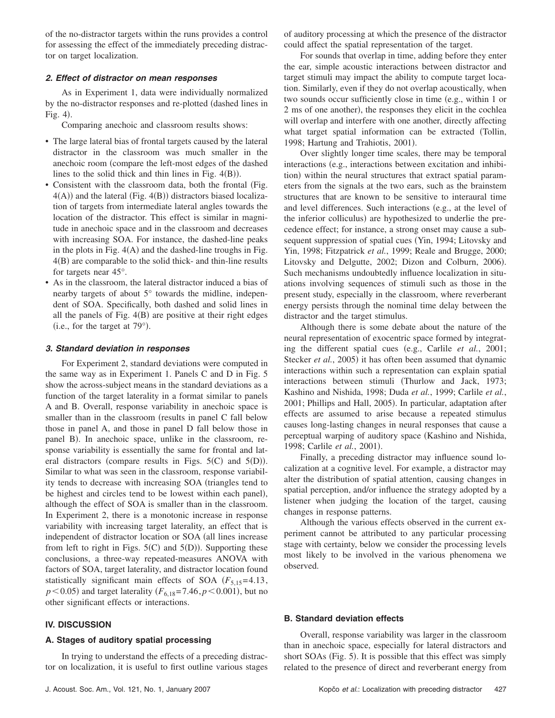of the no-distractor targets within the runs provides a control for assessing the effect of the immediately preceding distractor on target localization.

#### *2. Effect of distractor on mean responses*

As in Experiment 1, data were individually normalized by the no-distractor responses and re-plotted (dashed lines in Fig. 4).

Comparing anechoic and classroom results shows:

- The large lateral bias of frontal targets caused by the lateral distractor in the classroom was much smaller in the anechoic room (compare the left-most edges of the dashed lines to the solid thick and thin lines in Fig.  $4(B)$ ).
- Consistent with the classroom data, both the frontal (Fig.  $4(A)$ ) and the lateral (Fig.  $4(B)$ ) distractors biased localization of targets from intermediate lateral angles towards the location of the distractor. This effect is similar in magnitude in anechoic space and in the classroom and decreases with increasing SOA. For instance, the dashed-line peaks in the plots in Fig.  $4(A)$  and the dashed-line troughs in Fig. 4(B) are comparable to the solid thick- and thin-line results for targets near 45°.
- As in the classroom, the lateral distractor induced a bias of nearby targets of about 5° towards the midline, independent of SOA. Specifically, both dashed and solid lines in all the panels of Fig.  $4(B)$  are positive at their right edges  $(i.e., for the target at 79°).$

#### *3. Standard deviation in responses*

For Experiment 2, standard deviations were computed in the same way as in Experiment 1. Panels C and D in Fig. 5 show the across-subject means in the standard deviations as a function of the target laterality in a format similar to panels A and B. Overall, response variability in anechoic space is smaller than in the classroom (results in panel C fall below those in panel A, and those in panel D fall below those in panel B). In anechoic space, unlike in the classroom, response variability is essentially the same for frontal and lateral distractors (compare results in Figs.  $5(C)$  and  $5(D)$ ). Similar to what was seen in the classroom, response variability tends to decrease with increasing SOA (triangles tend to be highest and circles tend to be lowest within each panel), although the effect of SOA is smaller than in the classroom. In Experiment 2, there is a monotonic increase in response variability with increasing target laterality, an effect that is independent of distractor location or SOA (all lines increase from left to right in Figs.  $5(C)$  and  $5(D)$ ). Supporting these conclusions, a three-way repeated-measures ANOVA with factors of SOA, target laterality, and distractor location found statistically significant main effects of SOA  $(F_{5,15}=4.13)$ ,  $p$  < 0.05) and target laterality  $(F_{6,18}=7.46, p$  < 0.001), but no other significant effects or interactions.

#### **IV. DISCUSSION**

#### **A. Stages of auditory spatial processing**

In trying to understand the effects of a preceding distractor on localization, it is useful to first outline various stages of auditory processing at which the presence of the distractor could affect the spatial representation of the target.

For sounds that overlap in time, adding before they enter the ear, simple acoustic interactions between distractor and target stimuli may impact the ability to compute target location. Similarly, even if they do not overlap acoustically, when two sounds occur sufficiently close in time (e.g., within 1 or 2 ms of one another), the responses they elicit in the cochlea will overlap and interfere with one another, directly affecting what target spatial information can be extracted (Tollin, 1998; Hartung and Trahiotis, 2001).

Over slightly longer time scales, there may be temporal interactions (e.g., interactions between excitation and inhibition) within the neural structures that extract spatial parameters from the signals at the two ears, such as the brainstem structures that are known to be sensitive to interaural time and level differences. Such interactions (e.g., at the level of the inferior colliculus) are hypothesized to underlie the precedence effect; for instance, a strong onset may cause a subsequent suppression of spatial cues (Yin, 1994; Litovsky and Yin, 1998; Fitzpatrick *et al.*, 1999; Reale and Brugge, 2000; Litovsky and Delgutte, 2002; Dizon and Colburn, 2006). Such mechanisms undoubtedly influence localization in situations involving sequences of stimuli such as those in the present study, especially in the classroom, where reverberant energy persists through the nominal time delay between the distractor and the target stimulus.

Although there is some debate about the nature of the neural representation of exocentric space formed by integrating the different spatial cues (e.g., Carlile *et al.*, 2001; Stecker et al., 2005) it has often been assumed that dynamic interactions within such a representation can explain spatial interactions between stimuli (Thurlow and Jack, 1973; Kashino and Nishida, 1998; Duda *et al.*, 1999; Carlile *et al.*, 2001; Phillips and Hall, 2005). In particular, adaptation after effects are assumed to arise because a repeated stimulus causes long-lasting changes in neural responses that cause a perceptual warping of auditory space Kashino and Nishida, 1998; Carlile et al., 2001).

Finally, a preceding distractor may influence sound localization at a cognitive level. For example, a distractor may alter the distribution of spatial attention, causing changes in spatial perception, and/or influence the strategy adopted by a listener when judging the location of the target, causing changes in response patterns.

Although the various effects observed in the current experiment cannot be attributed to any particular processing stage with certainty, below we consider the processing levels most likely to be involved in the various phenomena we observed.

## **B. Standard deviation effects**

Overall, response variability was larger in the classroom than in anechoic space, especially for lateral distractors and short SOAs (Fig. 5). It is possible that this effect was simply related to the presence of direct and reverberant energy from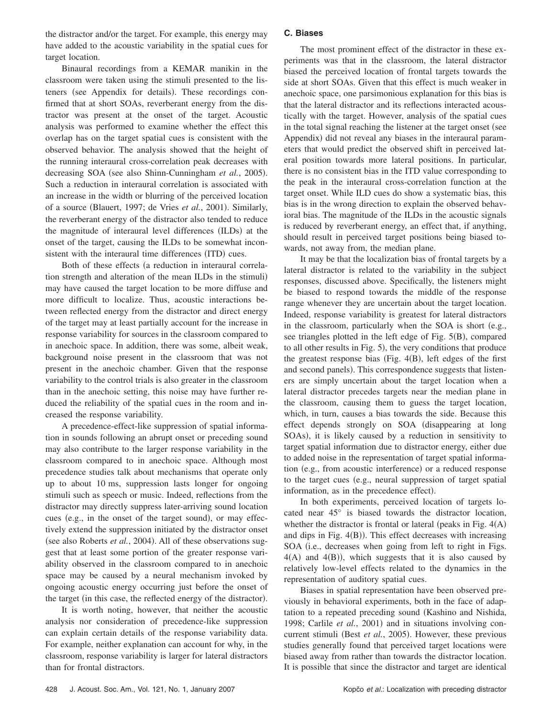the distractor and/or the target. For example, this energy may have added to the acoustic variability in the spatial cues for target location.

Binaural recordings from a KEMAR manikin in the classroom were taken using the stimuli presented to the listeners (see Appendix for details). These recordings confirmed that at short SOAs, reverberant energy from the distractor was present at the onset of the target. Acoustic analysis was performed to examine whether the effect this overlap has on the target spatial cues is consistent with the observed behavior. The analysis showed that the height of the running interaural cross-correlation peak decreases with decreasing SOA (see also Shinn-Cunningham et al., 2005). Such a reduction in interaural correlation is associated with an increase in the width or blurring of the perceived location of a source (Blauert, 1997; de Vries et al., 2001). Similarly, the reverberant energy of the distractor also tended to reduce the magnitude of interaural level differences (ILDs) at the onset of the target, causing the ILDs to be somewhat inconsistent with the interaural time differences (ITD) cues.

Both of these effects (a reduction in interaural correlation strength and alteration of the mean ILDs in the stimuli) may have caused the target location to be more diffuse and more difficult to localize. Thus, acoustic interactions between reflected energy from the distractor and direct energy of the target may at least partially account for the increase in response variability for sources in the classroom compared to in anechoic space. In addition, there was some, albeit weak, background noise present in the classroom that was not present in the anechoic chamber. Given that the response variability to the control trials is also greater in the classroom than in the anechoic setting, this noise may have further reduced the reliability of the spatial cues in the room and increased the response variability.

A precedence-effect-like suppression of spatial information in sounds following an abrupt onset or preceding sound may also contribute to the larger response variability in the classroom compared to in anechoic space. Although most precedence studies talk about mechanisms that operate only up to about 10 ms, suppression lasts longer for ongoing stimuli such as speech or music. Indeed, reflections from the distractor may directly suppress later-arriving sound location cues (e.g., in the onset of the target sound), or may effectively extend the suppression initiated by the distractor onset (see also Roberts et al., 2004). All of these observations suggest that at least some portion of the greater response variability observed in the classroom compared to in anechoic space may be caused by a neural mechanism invoked by ongoing acoustic energy occurring just before the onset of the target (in this case, the reflected energy of the distractor).

It is worth noting, however, that neither the acoustic analysis nor consideration of precedence-like suppression can explain certain details of the response variability data. For example, neither explanation can account for why, in the classroom, response variability is larger for lateral distractors than for frontal distractors.

# **C. Biases**

The most prominent effect of the distractor in these experiments was that in the classroom, the lateral distractor biased the perceived location of frontal targets towards the side at short SOAs. Given that this effect is much weaker in anechoic space, one parsimonious explanation for this bias is that the lateral distractor and its reflections interacted acoustically with the target. However, analysis of the spatial cues in the total signal reaching the listener at the target onset (see Appendix) did not reveal any biases in the interaural parameters that would predict the observed shift in perceived lateral position towards more lateral positions. In particular, there is no consistent bias in the ITD value corresponding to the peak in the interaural cross-correlation function at the target onset. While ILD cues do show a systematic bias, this bias is in the wrong direction to explain the observed behavioral bias. The magnitude of the ILDs in the acoustic signals is reduced by reverberant energy, an effect that, if anything, should result in perceived target positions being biased towards, not away from, the median plane.

It may be that the localization bias of frontal targets by a lateral distractor is related to the variability in the subject responses, discussed above. Specifically, the listeners might be biased to respond towards the middle of the response range whenever they are uncertain about the target location. Indeed, response variability is greatest for lateral distractors in the classroom, particularly when the SOA is short  $(e.g.,)$ see triangles plotted in the left edge of Fig. 5(B), compared to all other results in Fig. 5), the very conditions that produce the greatest response bias (Fig. 4(B), left edges of the first and second panels). This correspondence suggests that listeners are simply uncertain about the target location when a lateral distractor precedes targets near the median plane in the classroom, causing them to guess the target location, which, in turn, causes a bias towards the side. Because this effect depends strongly on SOA disappearing at long SOAs), it is likely caused by a reduction in sensitivity to target spatial information due to distractor energy, either due to added noise in the representation of target spatial information (e.g., from acoustic interference) or a reduced response to the target cues (e.g., neural suppression of target spatial information, as in the precedence effect).

In both experiments, perceived location of targets located near 45° is biased towards the distractor location, whether the distractor is frontal or lateral (peaks in Fig.  $4(A)$ ) and dips in Fig. 4(B)). This effect decreases with increasing SOA (i.e., decreases when going from left to right in Figs.  $4(A)$  and  $4(B)$ ), which suggests that it is also caused by relatively low-level effects related to the dynamics in the representation of auditory spatial cues.

Biases in spatial representation have been observed previously in behavioral experiments, both in the face of adaptation to a repeated preceding sound (Kashino and Nishida, 1998; Carlile et al., 2001) and in situations involving concurrent stimuli (Best et al., 2005). However, these previous studies generally found that perceived target locations were biased away from rather than towards the distractor location. It is possible that since the distractor and target are identical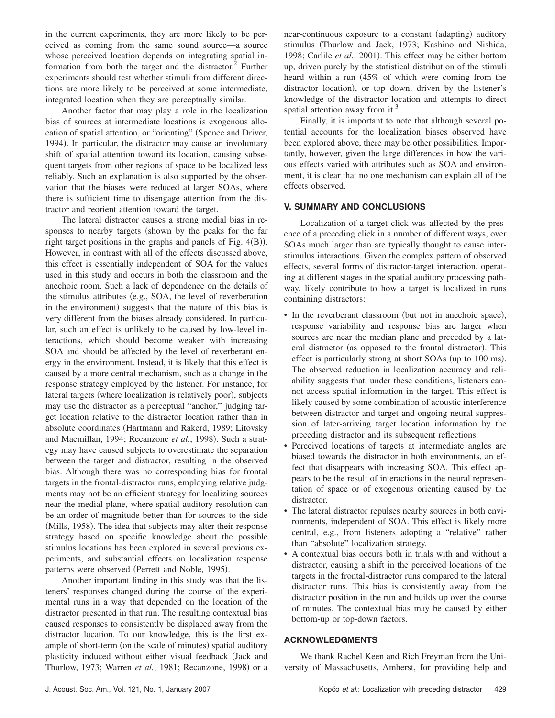in the current experiments, they are more likely to be perceived as coming from the same sound source—a source whose perceived location depends on integrating spatial information from both the target and the distractor.<sup>2</sup> Further experiments should test whether stimuli from different directions are more likely to be perceived at some intermediate, integrated location when they are perceptually similar.

Another factor that may play a role in the localization bias of sources at intermediate locations is exogenous allocation of spatial attention, or "orienting" (Spence and Driver, 1994). In particular, the distractor may cause an involuntary shift of spatial attention toward its location, causing subsequent targets from other regions of space to be localized less reliably. Such an explanation is also supported by the observation that the biases were reduced at larger SOAs, where there is sufficient time to disengage attention from the distractor and reorient attention toward the target.

The lateral distractor causes a strong medial bias in responses to nearby targets (shown by the peaks for the far right target positions in the graphs and panels of Fig.  $4(B)$ ). However, in contrast with all of the effects discussed above, this effect is essentially independent of SOA for the values used in this study and occurs in both the classroom and the anechoic room. Such a lack of dependence on the details of the stimulus attributes (e.g., SOA, the level of reverberation in the environment) suggests that the nature of this bias is very different from the biases already considered. In particular, such an effect is unlikely to be caused by low-level interactions, which should become weaker with increasing SOA and should be affected by the level of reverberant energy in the environment. Instead, it is likely that this effect is caused by a more central mechanism, such as a change in the response strategy employed by the listener. For instance, for lateral targets (where localization is relatively poor), subjects may use the distractor as a perceptual "anchor," judging target location relative to the distractor location rather than in absolute coordinates (Hartmann and Rakerd, 1989; Litovsky and Macmillan, 1994; Recanzone et al., 1998). Such a strategy may have caused subjects to overestimate the separation between the target and distractor, resulting in the observed bias. Although there was no corresponding bias for frontal targets in the frontal-distractor runs, employing relative judgments may not be an efficient strategy for localizing sources near the medial plane, where spatial auditory resolution can be an order of magnitude better than for sources to the side (Mills, 1958). The idea that subjects may alter their response strategy based on specific knowledge about the possible stimulus locations has been explored in several previous experiments, and substantial effects on localization response patterns were observed (Perrett and Noble, 1995).

Another important finding in this study was that the listeners' responses changed during the course of the experimental runs in a way that depended on the location of the distractor presented in that run. The resulting contextual bias caused responses to consistently be displaced away from the distractor location. To our knowledge, this is the first example of short-term (on the scale of minutes) spatial auditory plasticity induced without either visual feedback Jack and Thurlow, 1973; Warren et al., 1981; Recanzone, 1998) or a

near-continuous exposure to a constant (adapting) auditory stimulus (Thurlow and Jack, 1973; Kashino and Nishida, 1998; Carlile et al., 2001). This effect may be either bottom up, driven purely by the statistical distribution of the stimuli heard within a run 45% of which were coming from the distractor location), or top down, driven by the listener's knowledge of the distractor location and attempts to direct spatial attention away from it.<sup>3</sup>

Finally, it is important to note that although several potential accounts for the localization biases observed have been explored above, there may be other possibilities. Importantly, however, given the large differences in how the various effects varied with attributes such as SOA and environment, it is clear that no one mechanism can explain all of the effects observed.

# **V. SUMMARY AND CONCLUSIONS**

Localization of a target click was affected by the presence of a preceding click in a number of different ways, over SOAs much larger than are typically thought to cause interstimulus interactions. Given the complex pattern of observed effects, several forms of distractor-target interaction, operating at different stages in the spatial auditory processing pathway, likely contribute to how a target is localized in runs containing distractors:

- In the reverberant classroom (but not in anechoic space), response variability and response bias are larger when sources are near the median plane and preceded by a lateral distractor (as opposed to the frontal distractor). This effect is particularly strong at short SOAs (up to 100 ms). The observed reduction in localization accuracy and reliability suggests that, under these conditions, listeners cannot access spatial information in the target. This effect is likely caused by some combination of acoustic interference between distractor and target and ongoing neural suppression of later-arriving target location information by the preceding distractor and its subsequent reflections.
- Perceived locations of targets at intermediate angles are biased towards the distractor in both environments, an effect that disappears with increasing SOA. This effect appears to be the result of interactions in the neural representation of space or of exogenous orienting caused by the distractor.
- The lateral distractor repulses nearby sources in both environments, independent of SOA. This effect is likely more central, e.g., from listeners adopting a "relative" rather than "absolute" localization strategy.
- A contextual bias occurs both in trials with and without a distractor, causing a shift in the perceived locations of the targets in the frontal-distractor runs compared to the lateral distractor runs. This bias is consistently away from the distractor position in the run and builds up over the course of minutes. The contextual bias may be caused by either bottom-up or top-down factors.

# **ACKNOWLEDGMENTS**

We thank Rachel Keen and Rich Freyman from the University of Massachusetts, Amherst, for providing help and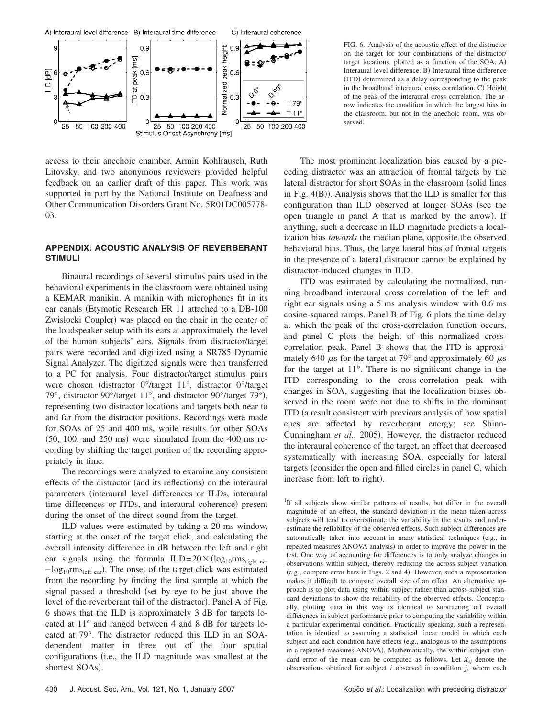

access to their anechoic chamber. Armin Kohlrausch, Ruth Litovsky, and two anonymous reviewers provided helpful feedback on an earlier draft of this paper. This work was supported in part by the National Institute on Deafness and Other Communication Disorders Grant No. 5R01DC005778- 03.

### **APPENDIX: ACOUSTIC ANALYSIS OF REVERBERANT STIMULI**

Binaural recordings of several stimulus pairs used in the behavioral experiments in the classroom were obtained using a KEMAR manikin. A manikin with microphones fit in its ear canals (Etymotic Research ER 11 attached to a DB-100 Zwislocki Coupler) was placed on the chair in the center of the loudspeaker setup with its ears at approximately the level of the human subjects' ears. Signals from distractor/target pairs were recorded and digitized using a SR785 Dynamic Signal Analyzer. The digitized signals were then transferred to a PC for analysis. Four distractor/target stimulus pairs were chosen (distractor 0°/target 11°, distractor 0°/target 79°, distractor 90°/target 11°, and distractor 90°/target 79°), representing two distractor locations and targets both near to and far from the distractor positions. Recordings were made for SOAs of 25 and 400 ms, while results for other SOAs  $(50, 100,$  and  $250 \text{ ms})$  were simulated from the  $400 \text{ ms}$  recording by shifting the target portion of the recording appropriately in time.

The recordings were analyzed to examine any consistent effects of the distractor (and its reflections) on the interaural parameters (interaural level differences or ILDs, interaural time differences or ITDs, and interaural coherence) present during the onset of the direct sound from the target.

ILD values were estimated by taking a 20 ms window, starting at the onset of the target click, and calculating the overall intensity difference in dB between the left and right ear signals using the formula ILD= $20 \times (log_{10}rms_{right ear})$ −log<sub>10</sub>rms<sub>left ear</sub>). The onset of the target click was estimated from the recording by finding the first sample at which the signal passed a threshold (set by eye to be just above the level of the reverberant tail of the distractor). Panel A of Fig. 6 shows that the ILD is approximately 3 dB for targets located at 11° and ranged between 4 and 8 dB for targets located at 79°. The distractor reduced this ILD in an SOAdependent matter in three out of the four spatial configurations (i.e., the ILD magnitude was smallest at the shortest SOAs).

FIG. 6. Analysis of the acoustic effect of the distractor on the target for four combinations of the distractor/ target locations, plotted as a function of the SOA. A) Interaural level difference. B) Interaural time difference (ITD) determined as a delay corresponding to the peak in the broadband interaural cross correlation. C) Height of the peak of the interaural cross correlation. The arrow indicates the condition in which the largest bias in the classroom, but not in the anechoic room, was observed.

The most prominent localization bias caused by a preceding distractor was an attraction of frontal targets by the lateral distractor for short SOAs in the classroom (solid lines in Fig. 4(B)). Analysis shows that the ILD is smaller for this configuration than ILD observed at longer SOAs (see the open triangle in panel A that is marked by the arrow). If anything, such a decrease in ILD magnitude predicts a localization bias *towards* the median plane, opposite the observed behavioral bias. Thus, the large lateral bias of frontal targets in the presence of a lateral distractor cannot be explained by distractor-induced changes in ILD.

ITD was estimated by calculating the normalized, running broadband interaural cross correlation of the left and right ear signals using a 5 ms analysis window with 0.6 ms cosine-squared ramps. Panel B of Fig. 6 plots the time delay at which the peak of the cross-correlation function occurs, and panel C plots the height of this normalized crosscorrelation peak. Panel B shows that the ITD is approximately 640  $\mu$ s for the target at 79° and approximately 60  $\mu$ s for the target at 11°. There is no significant change in the ITD corresponding to the cross-correlation peak with changes in SOA, suggesting that the localization biases observed in the room were not due to shifts in the dominant ITD (a result consistent with previous analysis of how spatial cues are affected by reverberant energy; see Shinn-Cunningham et al., 2005). However, the distractor reduced the interaural coherence of the target, an effect that decreased systematically with increasing SOA, especially for lateral targets (consider the open and filled circles in panel C, which increase from left to right).

<sup>1</sup>If all subjects show similar patterns of results, but differ in the overall magnitude of an effect, the standard deviation in the mean taken across subjects will tend to overestimate the variability in the results and underestimate the reliability of the observed effects. Such subject differences are automatically taken into account in many statistical techniques (e.g., in repeated-measures ANOVA analysis) in order to improve the power in the test. One way of accounting for differences is to only analyze changes in observations within subject, thereby reducing the across-subject variation (e.g., compare error bars in Figs. 2 and 4). However, such a representation makes it difficult to compare overall size of an effect. An alternative approach is to plot data using within-subject rather than across-subject standard deviations to show the reliability of the observed effects. Conceptually, plotting data in this way is identical to subtracting off overall differences in subject performance prior to computing the variability within a particular experimental condition. Practically speaking, such a representation is identical to assuming a statistical linear model in which each subject and each condition have effects (e.g., analogous to the assumptions in a repeated-measures ANOVA). Mathematically, the within-subject standard error of the mean can be computed as follows. Let  $X_{ii}$  denote the observations obtained for subject *i* observed in condition *j*, where each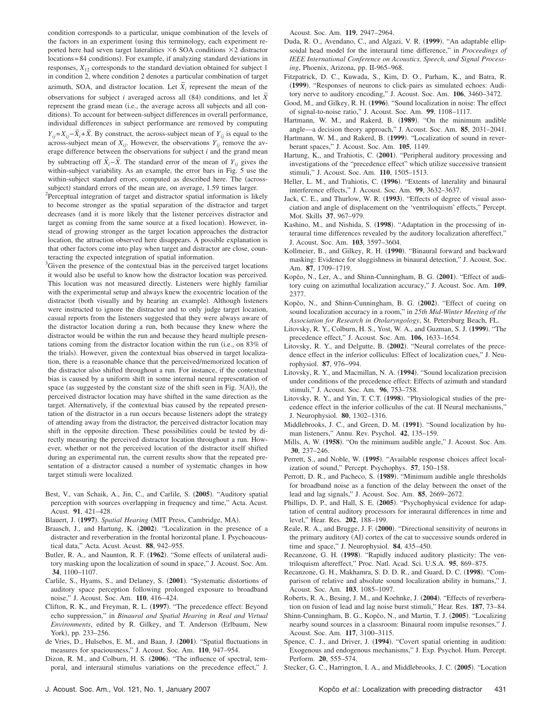condition corresponds to a particular, unique combination of the levels of the factors in an experiment (using this terminology, each experiment reported here had seven target lateralities  $\times$  6 SOA conditions  $\times$  2 distractor locations=84 conditions). For example, if analyzing standard deviations in responses,  $X_{12}$  corresponds to the standard deviation obtained for subject 1 in condition 2, where condition 2 denotes a particular combination of target azimuth, SOA, and distractor location. Let  $\bar{X}_i$  represent the mean of the observations for subject *i* averaged across all (84) conditions, and let  $\overline{X}$ represent the grand mean (i.e., the average across all subjects and all conditions). To account for between-subject differences in overall performance, individual differences in subject performance are removed by computing *Y*<sub>ij</sub>= $X_{ij} - \bar{X}_i + \bar{X}$ . By construct, the across-subject mean of *Y<sub>ij</sub>* is equal to the across-subject mean of  $X_{ij}$ . However, the observations  $Y_{ij}$  remove the average difference between the observations for subject *i* and the grand mean by subtracting off  $\overline{X}_i - \overline{X}$ . The standard error of the mean of  $Y_{ij}$  gives the within-subject variability. As an example, the error bars in Fig. 5 use the within-subject standard errors, computed as described here. The (across-

subject) standard errors of the mean are, on average,  $1.59$  times larger.<br><sup>2</sup>Depending integration of terror and distrustor applied information is til-Perceptual integration of target and distractor spatial information is likely to become stronger as the spatial separation of the distractor and target decreases (and it is more likely that the listener perceives distractor and target as coming from the same source at a fixed location). However, instead of growing stronger as the target location approaches the distractor location, the attraction observed here disappears. A possible explanation is that other factors come into play when target and distractor are close, counteracting the expected integration of spatial information.

<sup>3</sup>Given the presence of the contextual bias in the perceived target locations it would also be useful to know how the distractor location was perceived. This location was not measured directly. Listeners were highly familiar with the experimental setup and always knew the exocentric location of the distractor (both visually and by hearing an example). Although listeners were instructed to ignore the distractor and to only judge target location, casual reports from the listeners suggested that they were always aware of the distractor location during a run, both because they knew where the distractor would be within the run and because they heard multiple presentations coming from the distractor location within the run (i.e., on 83% of the trials). However, given the contextual bias observed in target localization, there is a reasonable chance that the perceived/memorized location of the distractor also shifted throughout a run. For instance, if the contextual bias is caused by a uniform shift in some internal neural representation of space (as suggested by the constant size of the shift seen in Fig.  $3(A)$ ), the perceived distractor location may have shifted in the same direction as the target. Alternatively, if the contextual bias caused by the repeated presentation of the distractor in a run occurs because listeners adopt the strategy of attending away from the distractor, the perceived distractor location may shift in the opposite direction. These possibilities could be tested by directly measuring the perceived distractor location throughout a run. However, whether or not the perceived location of the distractor itself shifted during an experimental run, the current results show that the repeated presentation of a distractor caused a number of systematic changes in how target stimuli were localized.

- Best, V., van Schaik, A., Jin, C., and Carlile, S. (2005). "Auditory spatial perception with sources overlapping in frequency and time," Acta. Acust. Acust. **91**, 421–428.
- Blauert, J. (1997). Spatial Hearing (MIT Press, Cambridge, MA).
- Braasch, J., and Hartung, K. (2002). "Localization in the presence of a distracter and reverberation in the frontal horizontal plane. I. Psychoacoustical data," Acta. Acust. Acust. **88**, 942–955.
- Butler, R. A., and Naunton, R. F. (1962). "Some effects of unilateral auditory masking upon the localization of sound in space," J. Acoust. Soc. Am. **34**, 1100–1107.
- Carlile, S., Hyams, S., and Delaney, S. (2001). "Systematic distortions of auditory space perception following prolonged exposure to broadband noise," J. Acoust. Soc. Am. **110**, 416–424.
- Clifton, R. K., and Freyman, R. L. (1997). "The precedence effect: Beyond echo suppression," in *Binaural and Spatial Hearing in Real and Virtual Environments*, edited by R. Gilkey, and T. Anderson Erlbaum, New York), pp. 233-256.
- de Vries, D., Hulsebos, E. M., and Baan, J. (2001). "Spatial fluctuations in measures for spaciousness," J. Acoust. Soc. Am. **110**, 947–954.
- Dizon, R. M., and Colburn, H. S. (2006). "The influence of spectral, temporal, and interaural stimulus variations on the precedence effect," J.

Acoust. Soc. Am. **119**, 2947–2964.

- Duda, R. O., Avendano, C., and Algazi, V. R. (1999). "An adaptable ellipsoidal head model for the interaural time difference," in *Proceedings of IEEE International Conference on Acoustics, Speech, and Signal Processing*, Phoenix, Arizona, pp. II-965–968.
- Fitzpatrick, D. C., Kuwada, S., Kim, D. O., Parham, K., and Batra, R. (1999). "Responses of neurons to click-pairs as simulated echoes: Auditory nerve to auditory encoding," J. Acoust. Soc. Am. **106**, 3460–3472.
- Good, M., and Gilkey, R. H. (1996). "Sound localization in noise: The effect of signal-to-noise ratio," J. Acoust. Soc. Am. **99**, 1108–1117.
- Hartmann, W. M., and Rakerd, B. (1989). "On the minimum audible angle—a decision theory approach," J. Acoust. Soc. Am. **85**, 2031–2041.
- Hartmann, W. M., and Rakerd, B. (1999). "Localization of sound in reverberant spaces," J. Acoust. Soc. Am. **105**, 1149.
- Hartung, K., and Trahiotis, C. (2001). "Peripheral auditory processing and investigations of the "precedence effect" which utilize successive transient stimuli," J. Acoust. Soc. Am. **110**, 1505–1513.
- Heller, L. M., and Trahiotis, C. (1996). "Extents of laterality and binaural interference effects," J. Acoust. Soc. Am. **99**, 3632–3637.
- Jack, C. E., and Thurlow, W. R. (1993). "Effects of degree of visual association and angle of displacement on the 'ventriloquism' effects," Percept. Mot. Skills **37**, 967–979.
- Kashino, M., and Nishida, S. (1998). "Adaptation in the processing of interaural time differences revealed by the auditory localization aftereffect," J. Acoust. Soc. Am. **103**, 3597–3604.
- Kollmeier, B., and Gilkey, R. H. (1990). "Binaural forward and backward masking: Evidence for sluggishness in binaural detection," J. Acoust. Soc. Am. **87**, 1709–1719.
- Kopčo, N., Ler, A., and Shinn-Cunningham, B. G. (2001). "Effect of auditory cuing on azimuthal localization accuracy," J. Acoust. Soc. Am. **109**, 2377.
- Kopčo, N., and Shinn-Cunningham, B. G. (2002). "Effect of cueing on sound localization accuracy in a room," in *25th Mid-Winter Meeting of the Association for Research in Otolaryngology*, St. Petersburg Beach, FL.
- Litovsky, R. Y., Colburn, H. S., Yost, W. A., and Guzman, S. J. **1999**-. "The precedence effect," J. Acoust. Soc. Am. **106**, 1633–1654.
- Litovsky, R. Y., and Delgutte, B. (2002). "Neural correlates of the precedence effect in the inferior colliculus: Effect of localization cues," J. Neurophysiol. **87**, 976–994.
- Litovsky, R. Y., and Macmillan, N. A. (1994). "Sound localization precision under conditions of the precedence effect: Effects of azimuth and standard stimuli," J. Acoust. Soc. Am. **96**, 753–758.
- Litovsky, R. Y., and Yin, T. C.T. (1998). "Physiological studies of the precedence effect in the inferior colliculus of the cat. II Neural mechanisms," J. Neurophysiol. **80**, 1302–1316.
- Middlebrooks, J. C., and Green, D. M. (1991). "Sound localization by human listeners," Annu. Rev. Psychol. **42**, 135–159.
- Mills, A. W. (1958). "On the minimum audible angle," J. Acoust. Soc. Am. **30**, 237–246.
- Perrett, S., and Noble, W. (1995). "Available response choices affect localization of sound," Percept. Psychophys. **57**, 150–158.
- Perrott, D. R., and Pacheco, S. (1989). "Minimum audible angle thresholds for broadband noise as a function of the delay between the onset of the lead and lag signals," J. Acoust. Soc. Am. **85**, 2669–2672.
- Phillips, D. P., and Hall, S. E. (2005). "Psychophysical evidence for adaptation of central auditory processors for interaural differences in time and level," Hear. Res. **202**, 188–199.
- Reale, R. A., and Brugge, J. F. (2000). "Directional sensitivity of neurons in the primary auditory (AI) cortex of the cat to successive sounds ordered in time and space," J. Neurophysiol. **84**, 435–450.
- Recanzone, G. H. (1998). "Rapidly induced auditory plasticity: The ventriloquism aftereffect," Proc. Natl. Acad. Sci. U.S.A. **95**, 869–875.
- Recanzone, G. H., Makhamra, S. D. D. R., and Guard, D. C. (1998). "Comparison of relative and absolute sound localization ability in humans," J. Acoust. Soc. Am. **103**, 1085–1097.
- Roberts, R. A., Besing, J. M., and Koehnke, J. (2004). "Effects of reverberation on fusion of lead and lag noise burst stimuli," Hear. Res. **187**, 73–84.
- Shinn-Cunningham, B. G., Kopčo, N., and Martin, T. J. (2005). "Localizing nearby sound sources in a classroom: Binaural room impulse resonses," J. Acoust. Soc. Am. **117**, 3100–3115.
- Spence, C. J., and Driver, J. (1994). "Covert spatial orienting in audition: Exogenous and endogenous mechanisms," J. Exp. Psychol. Hum. Percept. Perform. **20**, 555–574.
- Stecker, G. C., Harrington, I. A., and Middlebrooks, J. C. (2005). "Location